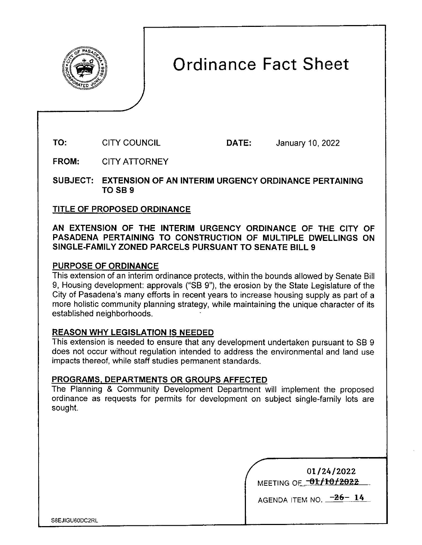

# Ordinance Fact Sheet

**TO:**  CITY COUNCIL

**DATE:** January 10, 2022

**FROM:**  CITY ATTORNEY

**SUBJECT: EXTENSION OF AN INTERIM URGENCY ORDINANCE PERTAINING TOSB9** 

## **TITLE OF PROPOSED ORDINANCE**

**AN EXTENSION OF THE INTERIM URGENCY ORDINANCE OF THE CITY OF PASADENA PERTAINING TO CONSTRUCTION OF MULTIPLE DWELLINGS ON SINGLE-FAMILY ZONED PARCELS PURSUANT TO SENATE BILL 9** 

## **PURPOSE OF ORDINANCE**

This extension of an interim ordinance protects, within the bounds allowed by Senate Bill 9, Housing development: approvals ("SB 9"), the erosion by the State Legislature of the City of Pasadena's many efforts in recent years to increase housing supply as part of a more holistic community planning strategy, while maintaining the unique character of its established neighborhoods.

## **REASON WHY LEGISLATION IS NEEDED**

This extension is needed to ensure that any development undertaken pursuant to SB 9 does not occur without regulation intended to address the environmental and land use impacts thereof, while staff studies permanent standards.

#### **PROGRAMS, DEPARTMENTS OR GROUPS AFFECTED**

The Planning & Community Development Department will implement the proposed ordinance as requests for permits for development on subject single-family lots are sought.

| 01/24/2022             |
|------------------------|
| MEETING OF TOT/10/2022 |

AGENDA ITEM NO.  $-26-14$ 

S8EJIGU60DC2RL